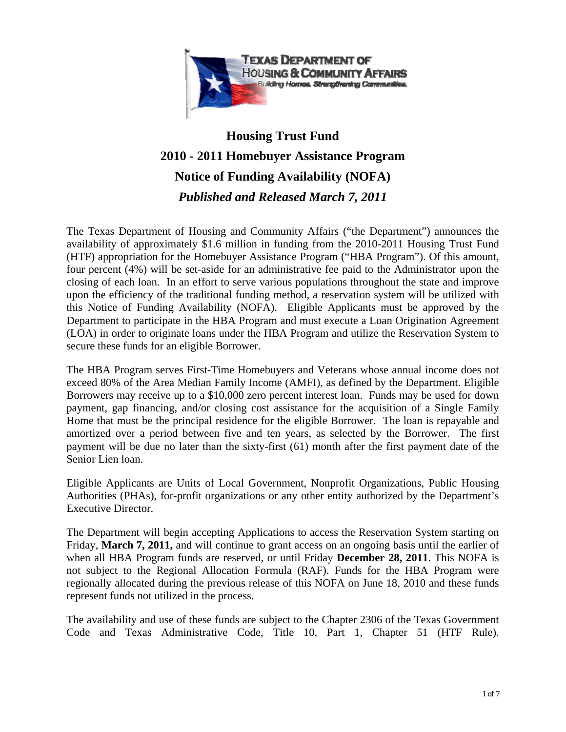

# **Housing Trust Fund 2010 - 2011 Homebuyer Assistance Program Notice of Funding Availability (NOFA)**  *Published and Released March 7, 2011*

The Texas Department of Housing and Community Affairs ("the Department") announces the availability of approximately \$1.6 million in funding from the 2010-2011 Housing Trust Fund (HTF) appropriation for the Homebuyer Assistance Program ("HBA Program"). Of this amount, four percent (4%) will be set-aside for an administrative fee paid to the Administrator upon the closing of each loan. In an effort to serve various populations throughout the state and improve upon the efficiency of the traditional funding method, a reservation system will be utilized with this Notice of Funding Availability (NOFA). Eligible Applicants must be approved by the Department to participate in the HBA Program and must execute a Loan Origination Agreement (LOA) in order to originate loans under the HBA Program and utilize the Reservation System to secure these funds for an eligible Borrower.

The HBA Program serves First-Time Homebuyers and Veterans whose annual income does not exceed 80% of the Area Median Family Income (AMFI), as defined by the Department. Eligible Borrowers may receive up to a \$10,000 zero percent interest loan. Funds may be used for down payment, gap financing, and/or closing cost assistance for the acquisition of a Single Family Home that must be the principal residence for the eligible Borrower. The loan is repayable and amortized over a period between five and ten years, as selected by the Borrower. The first payment will be due no later than the sixty-first (61) month after the first payment date of the Senior Lien loan.

Eligible Applicants are Units of Local Government, Nonprofit Organizations, Public Housing Authorities (PHAs), for-profit organizations or any other entity authorized by the Department's Executive Director.

The Department will begin accepting Applications to access the Reservation System starting on Friday, **March 7, 2011,** and will continue to grant access on an ongoing basis until the earlier of when all HBA Program funds are reserved, or until Friday **December 28, 2011**. This NOFA is not subject to the Regional Allocation Formula (RAF). Funds for the HBA Program were regionally allocated during the previous release of this NOFA on June 18, 2010 and these funds represent funds not utilized in the process.

The availability and use of these funds are subject to the Chapter 2306 of the Texas Government Code and Texas Administrative Code, Title 10, Part 1, Chapter 51 (HTF Rule).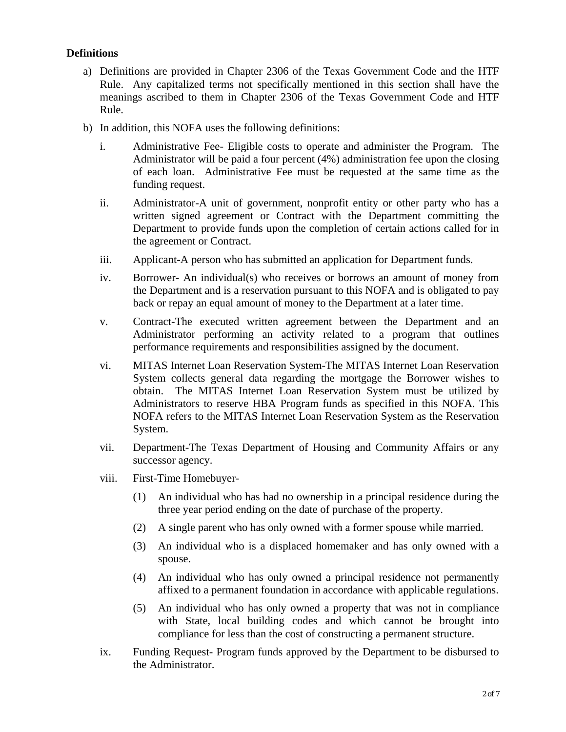## **Definitions**

- a) Definitions are provided in Chapter 2306 of the Texas Government Code and the HTF Rule. Any capitalized terms not specifically mentioned in this section shall have the meanings ascribed to them in Chapter 2306 of the Texas Government Code and HTF Rule.
- b) In addition, this NOFA uses the following definitions:
	- i. Administrative Fee- Eligible costs to operate and administer the Program. The Administrator will be paid a four percent (4%) administration fee upon the closing of each loan. Administrative Fee must be requested at the same time as the funding request.
	- ii. Administrator-A unit of government, nonprofit entity or other party who has a written signed agreement or Contract with the Department committing the Department to provide funds upon the completion of certain actions called for in the agreement or Contract.
	- iii. Applicant-A person who has submitted an application for Department funds.
	- iv. Borrower- An individual(s) who receives or borrows an amount of money from the Department and is a reservation pursuant to this NOFA and is obligated to pay back or repay an equal amount of money to the Department at a later time.
	- v. Contract-The executed written agreement between the Department and an Administrator performing an activity related to a program that outlines performance requirements and responsibilities assigned by the document.
	- vi. MITAS Internet Loan Reservation System-The MITAS Internet Loan Reservation System collects general data regarding the mortgage the Borrower wishes to obtain. The MITAS Internet Loan Reservation System must be utilized by Administrators to reserve HBA Program funds as specified in this NOFA. This NOFA refers to the MITAS Internet Loan Reservation System as the Reservation System.
	- vii. Department-The Texas Department of Housing and Community Affairs or any successor agency.
	- viii. First-Time Homebuyer-
		- (1) An individual who has had no ownership in a principal residence during the three year period ending on the date of purchase of the property.
		- (2) A single parent who has only owned with a former spouse while married.
		- (3) An individual who is a displaced homemaker and has only owned with a spouse.
		- (4) An individual who has only owned a principal residence not permanently affixed to a permanent foundation in accordance with applicable regulations.
		- (5) An individual who has only owned a property that was not in compliance with State, local building codes and which cannot be brought into compliance for less than the cost of constructing a permanent structure.
	- ix. Funding Request- Program funds approved by the Department to be disbursed to the Administrator.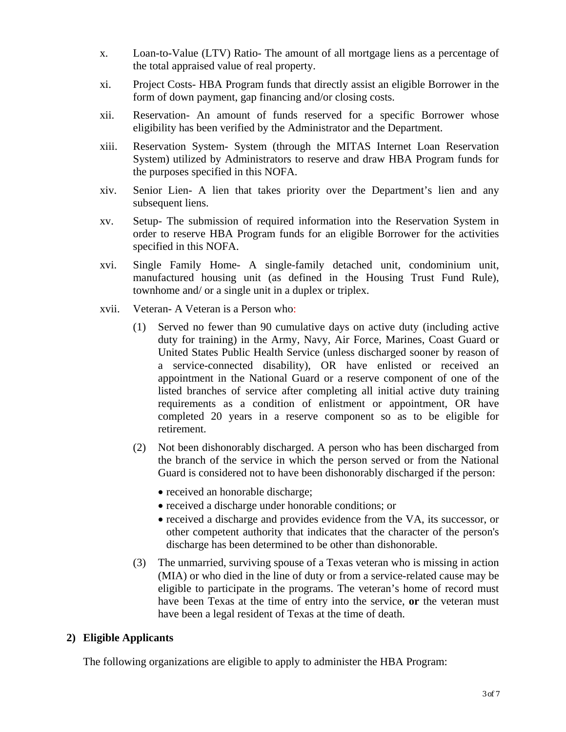- x. Loan-to-Value (LTV) Ratio- The amount of all mortgage liens as a percentage of the total appraised value of real property.
- xi. Project Costs- HBA Program funds that directly assist an eligible Borrower in the form of down payment, gap financing and/or closing costs.
- xii. Reservation- An amount of funds reserved for a specific Borrower whose eligibility has been verified by the Administrator and the Department.
- xiii. Reservation System- System (through the MITAS Internet Loan Reservation System) utilized by Administrators to reserve and draw HBA Program funds for the purposes specified in this NOFA.
- xiv. Senior Lien- A lien that takes priority over the Department's lien and any subsequent liens.
- xv. Setup- The submission of required information into the Reservation System in order to reserve HBA Program funds for an eligible Borrower for the activities specified in this NOFA.
- xvi. Single Family Home- A single-family detached unit, condominium unit, manufactured housing unit (as defined in the Housing Trust Fund Rule), townhome and/ or a single unit in a duplex or triplex.
- xvii. Veteran- A Veteran is a Person who:
	- (1) Served no fewer than 90 cumulative days on active duty (including active duty for training) in the Army, Navy, Air Force, Marines, Coast Guard or United States Public Health Service (unless discharged sooner by reason of a service-connected disability), OR have enlisted or received an appointment in the National Guard or a reserve component of one of the listed branches of service after completing all initial active duty training requirements as a condition of enlistment or appointment, OR have completed 20 years in a reserve component so as to be eligible for retirement.
	- (2) Not been dishonorably discharged. A person who has been discharged from the branch of the service in which the person served or from the National Guard is considered not to have been dishonorably discharged if the person:
		- received an honorable discharge;
		- received a discharge under honorable conditions; or
		- received a discharge and provides evidence from the VA, its successor, or other competent authority that indicates that the character of the person's discharge has been determined to be other than dishonorable.
	- (3) The unmarried, surviving spouse of a Texas veteran who is missing in action (MIA) or who died in the line of duty or from a service-related cause may be eligible to participate in the programs. The veteran's home of record must have been Texas at the time of entry into the service, **or** the veteran must have been a legal resident of Texas at the time of death.

# **2) Eligible Applicants**

The following organizations are eligible to apply to administer the HBA Program: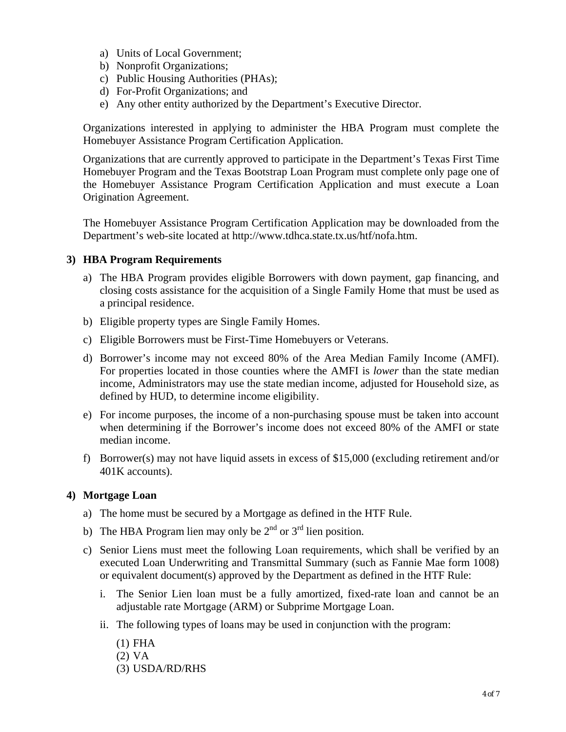- a) Units of Local Government;
- b) Nonprofit Organizations;
- c) Public Housing Authorities (PHAs);
- d) For-Profit Organizations; and
- e) Any other entity authorized by the Department's Executive Director.

Organizations interested in applying to administer the HBA Program must complete the Homebuyer Assistance Program Certification Application.

Organizations that are currently approved to participate in the Department's Texas First Time Homebuyer Program and the Texas Bootstrap Loan Program must complete only page one of the Homebuyer Assistance Program Certification Application and must execute a Loan Origination Agreement.

The Homebuyer Assistance Program Certification Application may be downloaded from the Department's web-site located at http://www.tdhca.state.tx.us/htf/nofa.htm.

### **3) HBA Program Requirements**

- a) The HBA Program provides eligible Borrowers with down payment, gap financing, and closing costs assistance for the acquisition of a Single Family Home that must be used as a principal residence.
- b) Eligible property types are Single Family Homes.
- c) Eligible Borrowers must be First-Time Homebuyers or Veterans.
- d) Borrower's income may not exceed 80% of the Area Median Family Income (AMFI). For properties located in those counties where the AMFI is *lower* than the state median income, Administrators may use the state median income, adjusted for Household size, as defined by HUD, to determine income eligibility.
- e) For income purposes, the income of a non-purchasing spouse must be taken into account when determining if the Borrower's income does not exceed 80% of the AMFI or state median income.
- f) Borrower(s) may not have liquid assets in excess of \$15,000 (excluding retirement and/or 401K accounts).

#### **4) Mortgage Loan**

- a) The home must be secured by a Mortgage as defined in the HTF Rule.
- b) The HBA Program lien may only be  $2<sup>nd</sup>$  or  $3<sup>rd</sup>$  lien position.
- c) Senior Liens must meet the following Loan requirements, which shall be verified by an executed Loan Underwriting and Transmittal Summary (such as Fannie Mae form 1008) or equivalent document(s) approved by the Department as defined in the HTF Rule:
	- i. The Senior Lien loan must be a fully amortized, fixed-rate loan and cannot be an adjustable rate Mortgage (ARM) or Subprime Mortgage Loan.
	- ii. The following types of loans may be used in conjunction with the program:
		- (1) FHA (2) VA (3) USDA/RD/RHS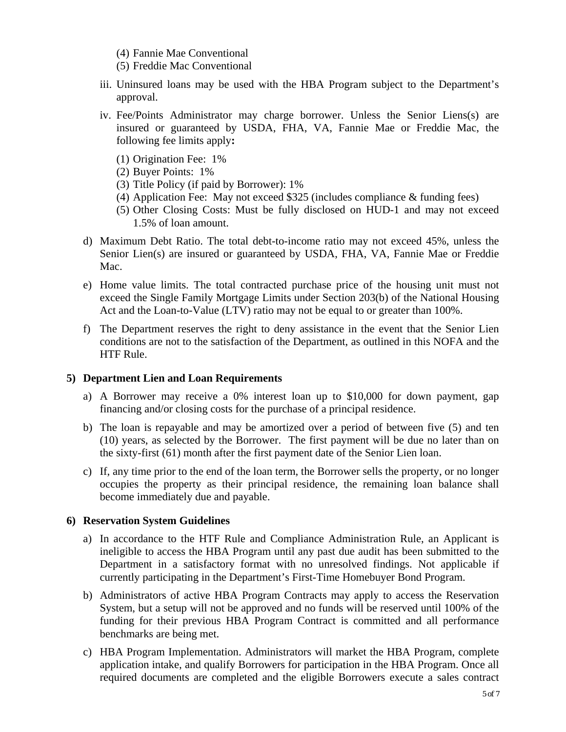- (4) Fannie Mae Conventional
- (5) Freddie Mac Conventional
- iii. Uninsured loans may be used with the HBA Program subject to the Department's approval.
- iv. Fee/Points Administrator may charge borrower. Unless the Senior Liens(s) are insured or guaranteed by USDA, FHA, VA, Fannie Mae or Freddie Mac, the following fee limits apply**:**
	- (1) Origination Fee: 1%
	- (2) Buyer Points: 1%
	- (3) Title Policy (if paid by Borrower): 1%
	- (4) Application Fee: May not exceed \$325 (includes compliance & funding fees)
	- (5) Other Closing Costs: Must be fully disclosed on HUD-1 and may not exceed 1.5% of loan amount.
- d) Maximum Debt Ratio. The total debt-to-income ratio may not exceed 45%, unless the Senior Lien(s) are insured or guaranteed by USDA, FHA, VA, Fannie Mae or Freddie Mac.
- e) Home value limits. The total contracted purchase price of the housing unit must not exceed the Single Family Mortgage Limits under Section 203(b) of the National Housing Act and the Loan-to-Value (LTV) ratio may not be equal to or greater than 100%.
- f) The Department reserves the right to deny assistance in the event that the Senior Lien conditions are not to the satisfaction of the Department, as outlined in this NOFA and the HTF Rule.

#### **5) Department Lien and Loan Requirements**

- a) A Borrower may receive a 0% interest loan up to \$10,000 for down payment, gap financing and/or closing costs for the purchase of a principal residence.
- b) The loan is repayable and may be amortized over a period of between five (5) and ten (10) years, as selected by the Borrower. The first payment will be due no later than on the sixty-first (61) month after the first payment date of the Senior Lien loan.
- c) If, any time prior to the end of the loan term, the Borrower sells the property, or no longer occupies the property as their principal residence, the remaining loan balance shall become immediately due and payable.

#### **6) Reservation System Guidelines**

- a) In accordance to the HTF Rule and Compliance Administration Rule, an Applicant is ineligible to access the HBA Program until any past due audit has been submitted to the Department in a satisfactory format with no unresolved findings. Not applicable if currently participating in the Department's First-Time Homebuyer Bond Program.
- b) Administrators of active HBA Program Contracts may apply to access the Reservation System, but a setup will not be approved and no funds will be reserved until 100% of the funding for their previous HBA Program Contract is committed and all performance benchmarks are being met.
- c) HBA Program Implementation. Administrators will market the HBA Program, complete application intake, and qualify Borrowers for participation in the HBA Program. Once all required documents are completed and the eligible Borrowers execute a sales contract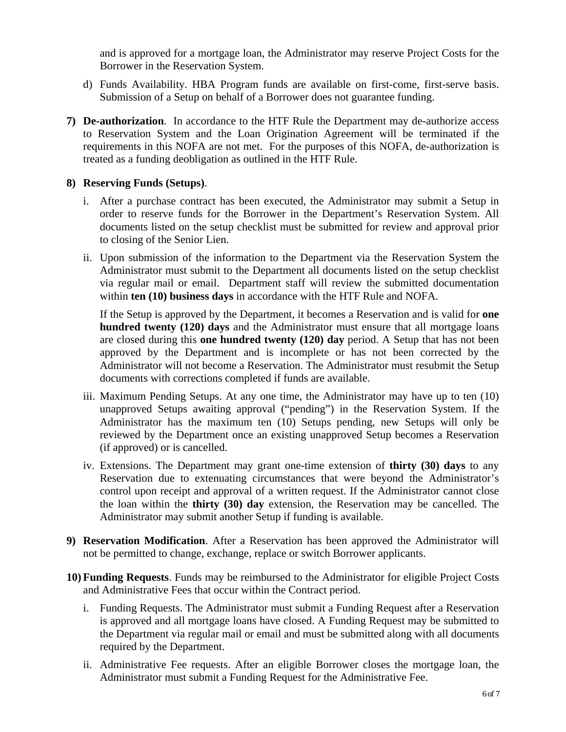and is approved for a mortgage loan, the Administrator may reserve Project Costs for the Borrower in the Reservation System.

- d) Funds Availability. HBA Program funds are available on first-come, first-serve basis. Submission of a Setup on behalf of a Borrower does not guarantee funding.
- **7) De-authorization**. In accordance to the HTF Rule the Department may de-authorize access to Reservation System and the Loan Origination Agreement will be terminated if the requirements in this NOFA are not met. For the purposes of this NOFA, de-authorization is treated as a funding deobligation as outlined in the HTF Rule.

#### **8) Reserving Funds (Setups)**.

- i. After a purchase contract has been executed, the Administrator may submit a Setup in order to reserve funds for the Borrower in the Department's Reservation System. All documents listed on the setup checklist must be submitted for review and approval prior to closing of the Senior Lien.
- ii. Upon submission of the information to the Department via the Reservation System the Administrator must submit to the Department all documents listed on the setup checklist via regular mail or email. Department staff will review the submitted documentation within **ten (10) business days** in accordance with the HTF Rule and NOFA.

If the Setup is approved by the Department, it becomes a Reservation and is valid for **one hundred twenty (120) days** and the Administrator must ensure that all mortgage loans are closed during this **one hundred twenty (120) day** period. A Setup that has not been approved by the Department and is incomplete or has not been corrected by the Administrator will not become a Reservation. The Administrator must resubmit the Setup documents with corrections completed if funds are available.

- iii. Maximum Pending Setups. At any one time, the Administrator may have up to ten (10) unapproved Setups awaiting approval ("pending") in the Reservation System. If the Administrator has the maximum ten (10) Setups pending, new Setups will only be reviewed by the Department once an existing unapproved Setup becomes a Reservation (if approved) or is cancelled.
- iv. Extensions. The Department may grant one-time extension of **thirty (30) days** to any Reservation due to extenuating circumstances that were beyond the Administrator's control upon receipt and approval of a written request. If the Administrator cannot close the loan within the **thirty (30) day** extension, the Reservation may be cancelled. The Administrator may submit another Setup if funding is available.
- **9) Reservation Modification**. After a Reservation has been approved the Administrator will not be permitted to change, exchange, replace or switch Borrower applicants.
- **10) Funding Requests**. Funds may be reimbursed to the Administrator for eligible Project Costs and Administrative Fees that occur within the Contract period.
	- i. Funding Requests. The Administrator must submit a Funding Request after a Reservation is approved and all mortgage loans have closed. A Funding Request may be submitted to the Department via regular mail or email and must be submitted along with all documents required by the Department.
	- ii. Administrative Fee requests. After an eligible Borrower closes the mortgage loan, the Administrator must submit a Funding Request for the Administrative Fee.